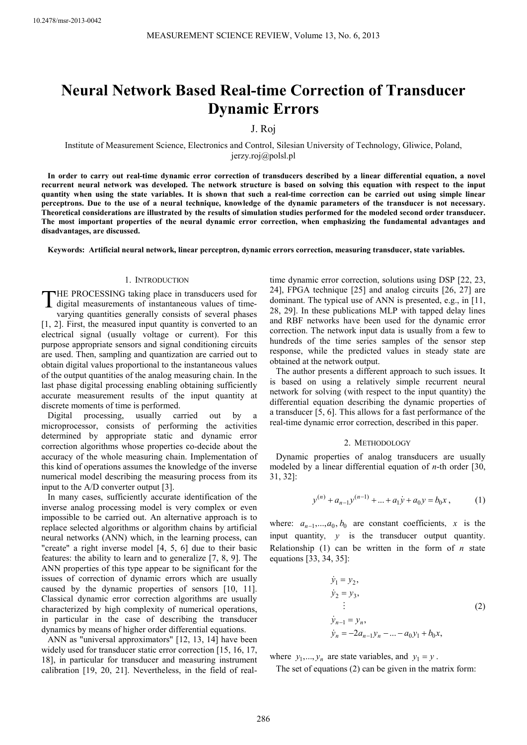# **Neural Network Based Real-time Correction of Transducer Dynamic Errors**

## J. Roj

Institute of Measurement Science, Electronics and Control, Silesian University of Technology, Gliwice, Poland, jerzy.roj@polsl.pl

**In order to carry out real-time dynamic error correction of transducers described by a linear differential equation, a novel recurrent neural network was developed. The network structure is based on solving this equation with respect to the input quantity when using the state variables. It is shown that such a real-time correction can be carried out using simple linear perceptrons. Due to the use of a neural technique, knowledge of the dynamic parameters of the transducer is not necessary. Theoretical considerations are illustrated by the results of simulation studies performed for the modeled second order transducer. The most important properties of the neural dynamic error correction, when emphasizing the fundamental advantages and disadvantages, are discussed.** 

**Keywords: Artificial neural network, linear perceptron, dynamic errors correction, measuring transducer, state variables.** 

## 1. INTRODUCTION

HE PROCESSING taking place in transducers used for digital measurements of instantaneous values of timevarying quantities generally consists of several phases [1, 2]. First, the measured input quantity is converted to an electrical signal (usually voltage or current). For this purpose appropriate sensors and signal conditioning circuits are used. Then, sampling and quantization are carried out to obtain digital values proportional to the instantaneous values of the output quantities of the analog measuring chain. In the last phase digital processing enabling obtaining sufficiently accurate measurement results of the input quantity at discrete moments of time is performed. T

Digital processing, usually carried out by a microprocessor, consists of performing the activities determined by appropriate static and dynamic error correction algorithms whose properties co-decide about the accuracy of the whole measuring chain. Implementation of this kind of operations assumes the knowledge of the inverse numerical model describing the measuring process from its input to the A/D converter output [3].

In many cases, sufficiently accurate identification of the inverse analog processing model is very complex or even impossible to be carried out. An alternative approach is to replace selected algorithms or algorithm chains by artificial neural networks (ANN) which, in the learning process, can "create" a right inverse model [4, 5, 6] due to their basic features: the ability to learn and to generalize [7, 8, 9]. The ANN properties of this type appear to be significant for the issues of correction of dynamic errors which are usually caused by the dynamic properties of sensors [10, 11]. Classical dynamic error correction algorithms are usually characterized by high complexity of numerical operations, in particular in the case of describing the transducer dynamics by means of higher order differential equations.

ANN as "universal approximators" [12, 13, 14] have been widely used for transducer static error correction [15, 16, 17, 18], in particular for transducer and measuring instrument calibration [19, 20, 21]. Nevertheless, in the field of realtime dynamic error correction, solutions using DSP [22, 23, 24], FPGA technique [25] and analog circuits [26, 27] are dominant. The typical use of ANN is presented, e.g., in [11, 28, 29]. In these publications MLP with tapped delay lines and RBF networks have been used for the dynamic error correction. The network input data is usually from a few to hundreds of the time series samples of the sensor step response, while the predicted values in steady state are obtained at the network output.

The author presents a different approach to such issues. It is based on using a relatively simple recurrent neural network for solving (with respect to the input quantity) the differential equation describing the dynamic properties of a transducer [5, 6]. This allows for a fast performance of the real-time dynamic error correction, described in this paper.

### 2. METHODOLOGY

Dynamic properties of analog transducers are usually modeled by a linear differential equation of *n*-th order [30, 31, 32]:

$$
y^{(n)} + a_{n-1}y^{(n-1)} + \dots + a_1\dot{y} + a_0y = b_0x, \qquad (1)
$$

where:  $a_{n-1},...,a_0$ ,  $b_0$  are constant coefficients, *x* is the input quantity, *y* is the transducer output quantity. Relationship (1) can be written in the form of *n* state equations [33, 34, 35]:

$$
\dot{y}_1 = y_2,\n\dot{y}_2 = y_3,\n\vdots\n\dot{y}_{n-1} = y_n,\n\dot{y}_n = -2a_{n-1}y_n - ... - a_0y_1 + b_0x,
$$
\n(2)

where  $y_1, ..., y_n$  are state variables, and  $y_1 = y$ .

The set of equations (2) can be given in the matrix form: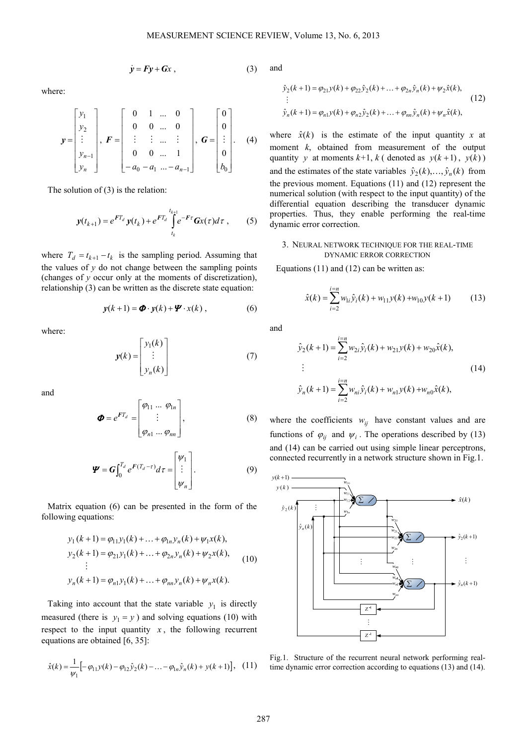$$
\dot{y} = Fy + Gx , \qquad (3)
$$

where:

$$
\mathbf{y} = \begin{bmatrix} y_1 \\ y_2 \\ \vdots \\ y_{n-1} \\ y_n \end{bmatrix}, \ \mathbf{F} = \begin{bmatrix} 0 & 1 & \dots & 0 \\ 0 & 0 & \dots & 0 \\ \vdots & \vdots & \dots & \vdots \\ 0 & 0 & \dots & 1 \\ -a_0 & -a_1 & \dots -a_{n-1} \end{bmatrix}, \ \mathbf{G} = \begin{bmatrix} 0 \\ 0 \\ \vdots \\ 0 \\ b_0 \end{bmatrix}. \tag{4}
$$

The solution of (3) is the relation:

$$
y(t_{k+1}) = e^{FT_d} y(t_k) + e^{FT_d} \int_{t_k}^{t_{k+1}} e^{-F\tau} Gx(\tau) d\tau , \qquad (5)
$$

where  $T_d = t_{k+1} - t_k$  is the sampling period. Assuming that the values of  $y$  do not change between the sampling points (changes of *y* occur only at the moments of discretization), relationship (3) can be written as the discrete state equation:

$$
y(k+1) = \boldsymbol{\Phi} \cdot y(k) + \boldsymbol{\Psi} \cdot x(k) , \qquad (6)
$$

where:

$$
y(k) = \begin{bmatrix} y_1(k) \\ \vdots \\ y_n(k) \end{bmatrix}
$$
 (7)

and

$$
\boldsymbol{\Phi} = e^{FT_d} = \begin{bmatrix} \varphi_{11} & \dots & \varphi_{1n} \\ \vdots & \vdots \\ \varphi_{n1} & \dots & \varphi_{nn} \end{bmatrix},
$$
 (8)

$$
\boldsymbol{\varPsi} = \boldsymbol{G} \int_0^{T_d} e^{\boldsymbol{F}(T_d - \tau)} d\tau = \begin{bmatrix} \boldsymbol{\psi}_1 \\ \vdots \\ \boldsymbol{\psi}_n \end{bmatrix} . \tag{9}
$$

Matrix equation (6) can be presented in the form of the following equations:

$$
y_1(k+1) = \varphi_{11}y_1(k) + \dots + \varphi_{1n}y_n(k) + \psi_1x(k),
$$
  
\n
$$
y_2(k+1) = \varphi_{21}y_1(k) + \dots + \varphi_{2n}y_n(k) + \psi_2x(k),
$$
  
\n
$$
\vdots
$$
  
\n
$$
y_n(k+1) = \varphi_{n1}y_1(k) + \dots + \varphi_{nn}y_n(k) + \psi_nx(k).
$$
 (10)

Taking into account that the state variable  $y_1$  is directly measured (there is  $y_1 = y$ ) and solving equations (10) with respect to the input quantity  $x$ , the following recurrent equations are obtained [6, 35]:

$$
\hat{x}(k) = \frac{1}{\psi_1} \left[ -\varphi_{11} y(k) - \varphi_{12} \hat{y}_2(k) - \dots - \varphi_{1n} \hat{y}_n(k) + y(k+1) \right], \quad (11)
$$

and

$$
\hat{y}_2(k+1) = \varphi_{21} y(k) + \varphi_{22} \hat{y}_2(k) + \dots + \varphi_{2n} \hat{y}_n(k) + \psi_2 \hat{x}(k),
$$
  
\n
$$
\vdots
$$
  
\n
$$
\hat{y}_n(k+1) = \varphi_{n1} y(k) + \varphi_{n2} \hat{y}_2(k) + \dots + \varphi_{nn} \hat{y}_n(k) + \psi_n \hat{x}(k),
$$
\n(12)

where  $\hat{x}(k)$  is the estimate of the input quantity x at moment *k*, obtained from measurement of the output quantity *y* at moments  $k+1$ ,  $k$  (denoted as  $y(k+1)$ ,  $y(k)$ ) and the estimates of the state variables  $\hat{y}_2(k), \dots, \hat{y}_n(k)$  from the previous moment. Equations (11) and (12) represent the numerical solution (with respect to the input quantity) of the differential equation describing the transducer dynamic properties. Thus, they enable performing the real-time dynamic error correction.

## 3. NEURAL NETWORK TECHNIQUE FOR THE REAL-TIME DYNAMIC ERROR CORRECTION

Equations (11) and (12) can be written as:

$$
\hat{x}(k) = \sum_{i=2}^{i=n} w_{1i} \hat{y}_i(k) + w_{11} y(k) + w_{10} y(k+1)
$$
 (13)

and

$$
\hat{y}_2(k+1) = \sum_{i=2}^{i=n} w_{2i} \hat{y}_i(k) + w_{21} y(k) + w_{20} \hat{x}(k),
$$
  
\n
$$
\vdots
$$
  
\n
$$
\hat{y}_n(k+1) = \sum_{i=2}^{i=n} w_{ni} \hat{y}_i(k) + w_{n1} y(k) + w_{n0} \hat{x}(k),
$$
\n(14)

where the coefficients  $w_{ii}$  have constant values and are functions of  $\varphi_{ij}$  and  $\psi_i$ . The operations described by (13) and (14) can be carried out using simple linear perceptrons, connected recurrently in a network structure shown in Fig.1.



Fig.1. Structure of the recurrent neural network performing realtime dynamic error correction according to equations (13) and (14).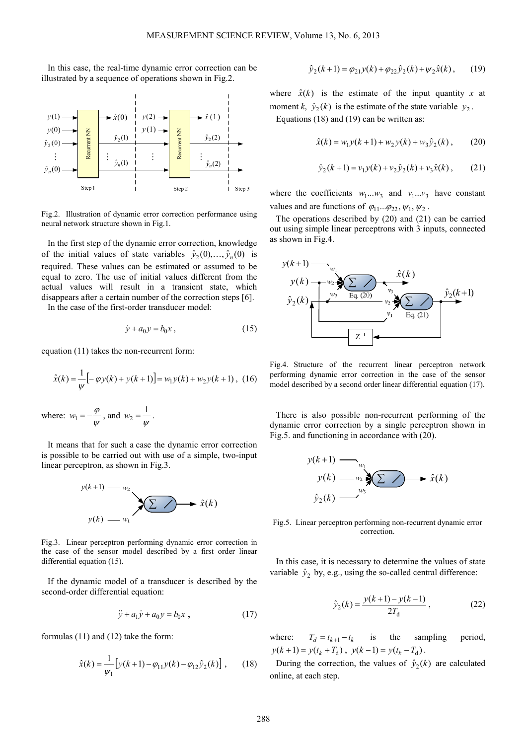In this case, the real-time dynamic error correction can be illustrated by a sequence of operations shown in Fig.2.



Fig.2. Illustration of dynamic error correction performance using neural network structure shown in Fig.1.

In the first step of the dynamic error correction, knowledge of the initial values of state variables  $\hat{y}_2(0), \dots, \hat{y}_n(0)$  is required. These values can be estimated or assumed to be equal to zero. The use of initial values different from the actual values will result in a transient state, which disappears after a certain number of the correction steps [6]. In the case of the first-order transducer model:

$$
\dot{y} + a_0 y = b_0 x \,, \tag{15}
$$

equation (11) takes the non-recurrent form:

$$
\hat{x}(k) = \frac{1}{\psi} \left[ -\varphi y(k) + y(k+1) \right] = w_1 y(k) + w_2 y(k+1), \tag{16}
$$

where:  $w_1 = -\frac{\varphi}{\psi}$  $w_1 = -\frac{\varphi}{\psi}$ , and  $w_2 = \frac{1}{\psi}$  $w_2 = \frac{1}{w}$ .

It means that for such a case the dynamic error correction is possible to be carried out with use of a simple, two-input linear perceptron, as shown in Fig.3.



Fig.3. Linear perceptron performing dynamic error correction in the case of the sensor model described by a first order linear differential equation (15).

If the dynamic model of a transducer is described by the second-order differential equation:

$$
\ddot{y} + a_1 \dot{y} + a_0 y = b_0 x \,, \tag{17}
$$

formulas (11) and (12) take the form:

$$
\hat{x}(k) = \frac{1}{\psi_1} \left[ y(k+1) - \varphi_{11} y(k) - \varphi_{12} \hat{y}_2(k) \right], \qquad (18)
$$

$$
\hat{y}_2(k+1) = \varphi_{21} y(k) + \varphi_{22} \hat{y}_2(k) + \psi_2 \hat{x}(k), \qquad (19)
$$

where  $\hat{x}(k)$  is the estimate of the input quantity x at moment *k*,  $\hat{y}_2(k)$  is the estimate of the state variable  $y_2$ . Equations (18) and (19) can be written as:

$$
\hat{x}(k) = w_1 y(k+1) + w_2 y(k) + w_3 \hat{y}_2(k) ,
$$
 (20)

$$
\hat{y}_2(k+1) = v_1 y(k) + v_2 \hat{y}_2(k) + v_3 \hat{x}(k) ,\qquad(21)
$$

where the coefficients  $w_1...w_3$  and  $v_1...v_3$  have constant values and are functions of  $\varphi_{11} \dots \varphi_{22}$ ,  $\psi_1, \psi_2$ .

The operations described by (20) and (21) can be carried out using simple linear perceptrons with 3 inputs, connected as shown in Fig.4.



Fig.4. Structure of the recurrent linear perceptron network performing dynamic error correction in the case of the sensor model described by a second order linear differential equation (17).

There is also possible non-recurrent performing of the dynamic error correction by a single perceptron shown in Fig.5. and functioning in accordance with (20).

$$
y(k+1) \longrightarrow_{w_1} \qquad \qquad y(k) \longrightarrow_{w_2} \sum_{w_3} \sum \longrightarrow \hat{x}(k)
$$
  

$$
\hat{y}_2(k) \longrightarrow_{w_3} \sum
$$

Fig.5. Linear perceptron performing non-recurrent dynamic error correction.

In this case, it is necessary to determine the values of state variable  $\hat{y}_2$  by, e.g., using the so-called central difference:

$$
\hat{y}_2(k) = \frac{y(k+1) - y(k-1)}{2T_d} \,,\tag{22}
$$

where:  $T_d = t_{k+1} - t_k$  is the sampling period,  $y(k+1) = y(t_k + T_d)$ ,  $y(k-1) = y(t_k - T_d)$ .

During the correction, the values of  $\hat{y}_2(k)$  are calculated online, at each step.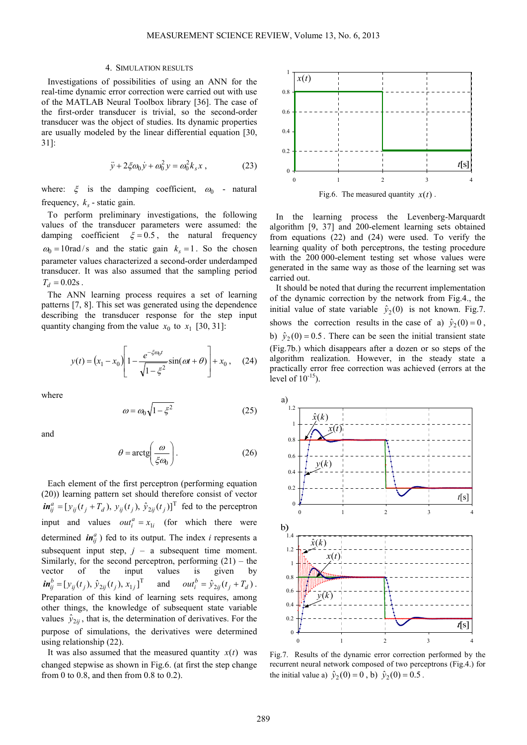#### 4. SIMULATION RESULTS

Investigations of possibilities of using an ANN for the real-time dynamic error correction were carried out with use of the MATLAB Neural Toolbox library [36]. The case of the first-order transducer is trivial, so the second-order transducer was the object of studies. Its dynamic properties are usually modeled by the linear differential equation [30, 31]:

$$
\ddot{y} + 2\xi\omega_0 \dot{y} + \omega_0^2 y = \omega_0^2 k_s x , \qquad (23)
$$

where:  $\xi$  is the damping coefficient,  $\omega_0$  - natural frequency,  $k_s$  - static gain.

To perform preliminary investigations, the following values of the transducer parameters were assumed: the damping coefficient  $\xi = 0.5$ , the natural frequency  $\omega_0 = 10 \text{ rad/s}$  and the static gain  $k_s = 1$ . So the chosen parameter values characterized a second-order underdamped transducer. It was also assumed that the sampling period  $T_d = 0.02$ s.

The ANN learning process requires a set of learning patterns [7, 8]. This set was generated using the dependence describing the transducer response for the step input quantity changing from the value  $x_0$  to  $x_1$  [30, 31]:

$$
y(t) = (x_1 - x_0) \left[ 1 - \frac{e^{-\xi \omega_0 t}}{\sqrt{1 - \xi^2}} \sin(\omega t + \theta) \right] + x_0, \quad (24)
$$

where

$$
\omega = \omega_0 \sqrt{1 - \xi^2} \tag{25}
$$

and

$$
\theta = \arctg\left(\frac{\omega}{\xi \omega_0}\right). \tag{26}
$$

Each element of the first perceptron (performing equation (20)) learning pattern set should therefore consist of vector  $\boldsymbol{in}_{ij}^a = [y_{ij}(t_j + T_d), y_{ij}(t_j), \hat{y}_{2ij}(t_j)]^T$  fed to the perceptron input and values  $out_i^a = x_{1i}$  (for which there were determined  $\boldsymbol{in}_{ij}^a$ ) fed to its output. The index *i* represents a subsequent input step,  $j - a$  subsequent time moment. Similarly, for the second perceptron, performing  $(21)$  – the vector of the input values is given by  $\boldsymbol{in}_{ij}^{b} = [y_{ij}(t_j), \hat{y}_{2ij}(t_j), x_{1j}]^{T}$  and  $\boldsymbol{out}_{i}^{b} = \hat{y}_{2ij}(t_j + T_d)$  $out_i^b = \hat{y}_{2ij}(t_j + T_d).$ Preparation of this kind of learning sets requires, among other things, the knowledge of subsequent state variable values  $\hat{y}_{2ij}$ , that is, the determination of derivatives. For the purpose of simulations, the derivatives were determined using relationship (22).

It was also assumed that the measured quantity  $x(t)$  was changed stepwise as shown in Fig.6. (at first the step change from 0 to 0.8, and then from 0.8 to 0.2).



Fig.6. The measured quantity  $x(t)$ .

In the learning process the Levenberg-Marquardt algorithm [9, 37] and 200-element learning sets obtained from equations (22) and (24) were used. To verify the learning quality of both perceptrons, the testing procedure with the 200 000-element testing set whose values were generated in the same way as those of the learning set was carried out.

It should be noted that during the recurrent implementation of the dynamic correction by the network from Fig.4., the initial value of state variable  $\hat{y}_2(0)$  is not known. Fig.7. shows the correction results in the case of a)  $\hat{y}_2(0) = 0$ , b)  $\hat{y}_2(0) = 0.5$ . There can be seen the initial transient state (Fig.7b.) which disappears after a dozen or so steps of the algorithm realization. However, in the steady state a practically error free correction was achieved (errors at the level of  $10^{-15}$ ).



Fig.7. Results of the dynamic error correction performed by the recurrent neural network composed of two perceptrons (Fig.4.) for the initial value a)  $\hat{y}_2(0) = 0$ , b)  $\hat{y}_2(0) = 0.5$ .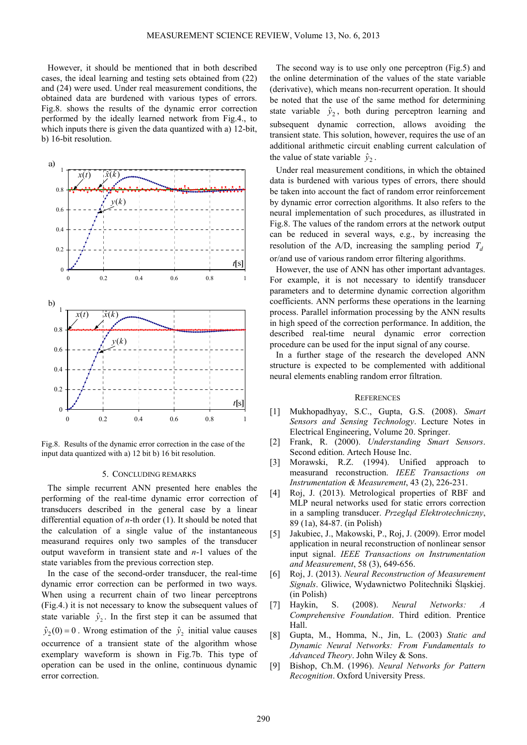However, it should be mentioned that in both described cases, the ideal learning and testing sets obtained from (22) and (24) were used. Under real measurement conditions, the obtained data are burdened with various types of errors. Fig.8. shows the results of the dynamic error correction performed by the ideally learned network from Fig.4., to which inputs there is given the data quantized with a) 12-bit, b) 16-bit resolution.



Fig.8. Results of the dynamic error correction in the case of the input data quantized with a) 12 bit b) 16 bit resolution.

#### 5. CONCLUDING REMARKS

The simple recurrent ANN presented here enables the performing of the real-time dynamic error correction of transducers described in the general case by a linear differential equation of *n*-th order (1). It should be noted that the calculation of a single value of the instantaneous measurand requires only two samples of the transducer output waveform in transient state and *n*-1 values of the state variables from the previous correction step.

In the case of the second-order transducer, the real-time dynamic error correction can be performed in two ways. When using a recurrent chain of two linear perceptrons (Fig.4.) it is not necessary to know the subsequent values of state variable  $\hat{y}_2$ . In the first step it can be assumed that  $\hat{y}_2(0) = 0$ . Wrong estimation of the  $\hat{y}_2$  initial value causes occurrence of a transient state of the algorithm whose exemplary waveform is shown in Fig.7b. This type of operation can be used in the online, continuous dynamic error correction.

The second way is to use only one perceptron (Fig.5) and the online determination of the values of the state variable (derivative), which means non-recurrent operation. It should be noted that the use of the same method for determining state variable  $\hat{y}_2$ , both during perceptron learning and subsequent dynamic correction, allows avoiding the transient state. This solution, however, requires the use of an additional arithmetic circuit enabling current calculation of the value of state variable  $\hat{y}_2$ .

Under real measurement conditions, in which the obtained data is burdened with various types of errors, there should be taken into account the fact of random error reinforcement by dynamic error correction algorithms. It also refers to the neural implementation of such procedures, as illustrated in Fig.8. The values of the random errors at the network output can be reduced in several ways, e.g., by increasing the resolution of the A/D, increasing the sampling period  $T_d$ or/and use of various random error filtering algorithms.

However, the use of ANN has other important advantages. For example, it is not necessary to identify transducer parameters and to determine dynamic correction algorithm coefficients. ANN performs these operations in the learning process. Parallel information processing by the ANN results in high speed of the correction performance. In addition, the described real-time neural dynamic error correction procedure can be used for the input signal of any course.

In a further stage of the research the developed ANN structure is expected to be complemented with additional neural elements enabling random error filtration.

#### **REFERENCES**

- [1] Mukhopadhyay, S.C., Gupta, G.S. (2008). *Smart Sensors and Sensing Technology*. Lecture Notes in Electrical Engineering, Volume 20. Springer.
- [2] Frank, R. (2000). *Understanding Smart Sensors*. Second edition. Artech House Inc.
- [3] Morawski, R.Z. (1994). Unified approach to measurand reconstruction. *IEEE Transactions on Instrumentation & Measurement*, 43 (2), 226-231.
- [4] Roj, J. (2013). Metrological properties of RBF and MLP neural networks used for static errors correction in a sampling transducer. *Przegląd Elektrotechniczny*, 89 (1a), 84-87. (in Polish)
- [5] Jakubiec, J., Makowski, P., Roj, J. (2009). Error model application in neural reconstruction of nonlinear sensor input signal. *IEEE Transactions on Instrumentation and Measurement*, 58 (3), 649-656.
- [6] Roj, J. (2013). *Neural Reconstruction of Measurement Signals*. Gliwice, Wydawnictwo Politechniki Śląskiej. (in Polish)
- [7] Haykin, S. (2008). *Neural Networks: A Comprehensive Foundation*. Third edition. Prentice Hall.
- [8] Gupta, M., Homma, N., Jin, L. (2003) *Static and Dynamic Neural Networks: From Fundamentals to Advanced Theory*. John Wiley & Sons.
- [9] Bishop, Ch.M. (1996). *Neural Networks for Pattern Recognition*. Oxford University Press.